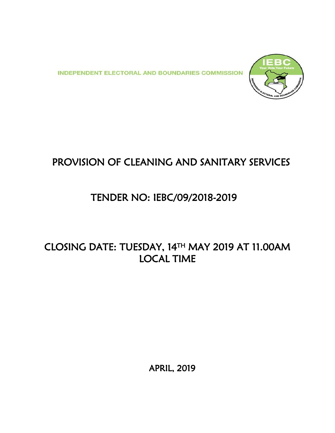**INDEPENDENT ELECTORAL AND BOUNDARIES COMMISSION** 



# PROVISION OF CLEANING AND SANITARY SERVICES

# TENDER NO: IEBC/09/2018-2019

# CLOSING DATE: TUESDAY, 14TH MAY 2019 AT 11.00AM LOCAL TIME

APRIL, 2019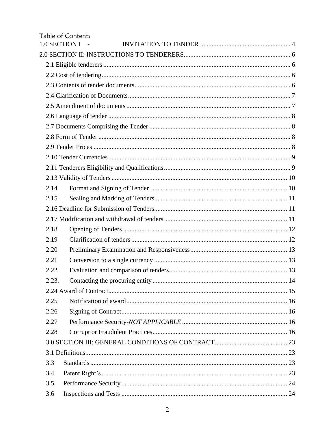|               | <b>Table of Contents</b> |
|---------------|--------------------------|
| 1.0 SECTION I |                          |
|               |                          |
|               |                          |
|               |                          |
|               |                          |
|               |                          |
|               |                          |
|               |                          |
|               |                          |
|               |                          |
|               |                          |
|               |                          |
|               |                          |
|               |                          |
| 2.14          |                          |
| 2.15          |                          |
|               |                          |
|               |                          |
| 2.18          |                          |
| 2.19          |                          |
| 2.20          |                          |
| 2.21          |                          |
| 2.22          |                          |
| 2.23.         |                          |
|               |                          |
| 2.25          |                          |
| 2.26          |                          |
| 2.27          |                          |
| 2.28          |                          |
|               |                          |
|               |                          |
| 3.3           |                          |
| 3.4           |                          |
| 3.5           |                          |
| 3.6           |                          |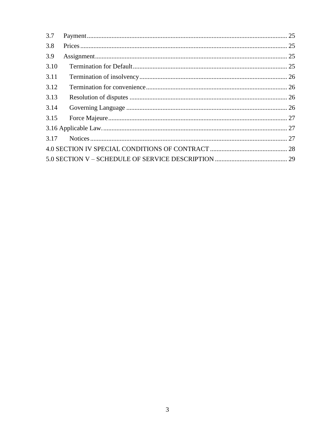| 3.7  |  |
|------|--|
| 3.8  |  |
| 3.9  |  |
| 3.10 |  |
| 3.11 |  |
| 3.12 |  |
| 3.13 |  |
| 3.14 |  |
| 3.15 |  |
|      |  |
| 3.17 |  |
|      |  |
|      |  |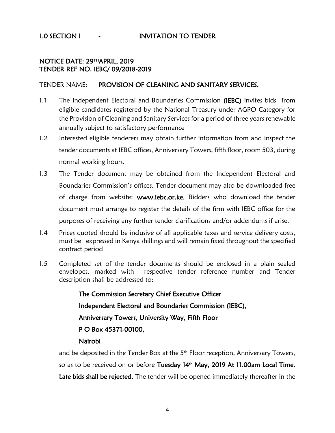#### <span id="page-3-0"></span>1.0 SECTION I - INVITATION TO TENDER

#### NOTICE DATE: 29THAPRIL, 2019 TENDER REF NO. IEBC/ 09/2018-2019

#### TENDER NAME: PROVISION OF CLEANING AND SANITARY SERVICES.

- 1.1 The Independent Electoral and Boundaries Commission (IEBC) invites bids from eligible candidates registered by the National Treasury under AGPO Category for the Provision of Cleaning and Sanitary Services for a period of three years renewable annually subject to satisfactory performance
- 1.2 Interested eligible tenderers may obtain further information from and inspect the tender documents at IEBC offices, Anniversary Towers, fifth floor, room 503, during normal working hours.
- 1.3 The Tender document may be obtained from the Independent Electoral and Boundaries Commission's offices. Tender document may also be downloaded free of charge from website: www.iebc.or.ke. Bidders who download the tender document must arrange to register the details of the firm with IEBC office for the purposes of receiving any further tender clarifications and/or addendums if arise.
- 1.4 Prices quoted should be inclusive of all applicable taxes and service delivery costs, must be expressed in Kenya shillings and will remain fixed throughout the specified contract period
- 1.5 Completed set of the tender documents should be enclosed in a plain sealed envelopes, marked with respective tender reference number and Tender description shall be addressed to:

The Commission Secretary Chief Executive Officer Independent Electoral and Boundaries Commission (IEBC), Anniversary Towers, University Way, Fifth Floor P O Box 45371-00100, Nairobi

and be deposited in the Tender Box at the 5<sup>th</sup> Floor reception, Anniversary Towers, so as to be received on or before Tuesday 14<sup>th</sup> May, 2019 At 11.00am Local Time. Late bids shall be rejected. The tender will be opened immediately thereafter in the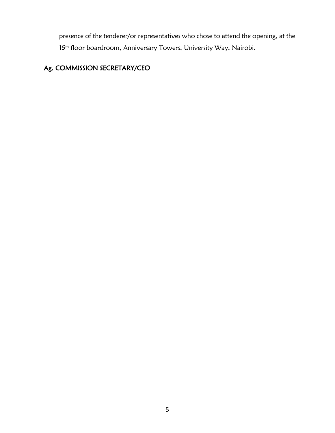presence of the tenderer/or representatives who chose to attend the opening, at the 15<sup>th</sup> floor boardroom, Anniversary Towers, University Way, Nairobi.

#### Ag. COMMISSION SECRETARY/CEO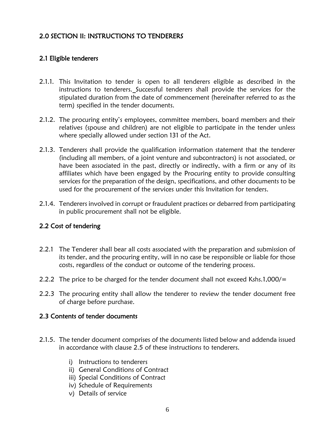# <span id="page-5-0"></span>2.0 SECTION II: INSTRUCTIONS TO TENDERERS

#### <span id="page-5-1"></span>2.1 Eligible tenderers

- 2.1.1. This Invitation to tender is open to all tenderers eligible as described in the instructions to tenderers. Successful tenderers shall provide the services for the stipulated duration from the date of commencement (hereinafter referred to as the term) specified in the tender documents.
- 2.1.2. The procuring entity's employees, committee members, board members and their relatives (spouse and children) are not eligible to participate in the tender unless where specially allowed under section 131 of the Act.
- 2.1.3. Tenderers shall provide the qualification information statement that the tenderer (including all members, of a joint venture and subcontractors) is not associated, or have been associated in the past, directly or indirectly, with a firm or any of its affiliates which have been engaged by the Procuring entity to provide consulting services for the preparation of the design, specifications, and other documents to be used for the procurement of the services under this Invitation for tenders.
- 2.1.4. Tenderers involved in corrupt or fraudulent practices or debarred from participating in public procurement shall not be eligible.

#### <span id="page-5-2"></span>2.2 Cost of tendering

- 2.2.1 The Tenderer shall bear all costs associated with the preparation and submission of its tender, and the procuring entity, will in no case be responsible or liable for those costs, regardless of the conduct or outcome of the tendering process.
- 2.2.2 The price to be charged for the tender document shall not exceed Kshs.1,000/=
- 2.2.3 The procuring entity shall allow the tenderer to review the tender document free of charge before purchase.

#### <span id="page-5-3"></span>2.3 Contents of tender documents

- 2.1.5. The tender document comprises of the documents listed below and addenda issued in accordance with clause 2.5 of these instructions to tenderers.
	- i) Instructions to tenderers
	- ii) General Conditions of Contract
	- iii) Special Conditions of Contract
	- iv) Schedule of Requirements
	- v) Details of service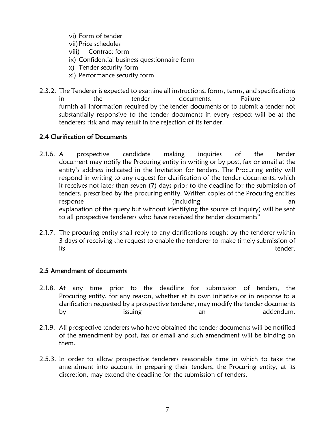- vi) Form of tender vii)Price schedules viii) Contract form
- ix) Confidential business questionnaire form
- x) Tender security form
- xi) Performance security form
- 2.3.2. The Tenderer is expected to examine all instructions, forms, terms, and specifications in the tender documents. Failure to furnish all information required by the tender documents or to submit a tender not substantially responsive to the tender documents in every respect will be at the tenderers risk and may result in the rejection of its tender.

#### <span id="page-6-0"></span>2.4 Clarification of Documents

- 2.1.6. A prospective candidate making inquiries of the tender document may notify the Procuring entity in writing or by post, fax or email at the entity's address indicated in the Invitation for tenders. The Procuring entity will respond in writing to any request for clarification of the tender documents, which it receives not later than seven (7) days prior to the deadline for the submission of tenders, prescribed by the procuring entity. Written copies of the Procuring entities response and a control of the control of the control of the control of the control of the control of the control of the control of the control of the control of the control of the control of the control of the control of t explanation of the query but without identifying the source of inquiry) will be sent to all prospective tenderers who have received the tender documents"
- 2.1.7. The procuring entity shall reply to any clarifications sought by the tenderer within 3 days of receiving the request to enable the tenderer to make timely submission of its the contract of the contract of the contract of the contract of the contract of the contract of the contract of the contract of the contract of the contract of the contract of the contract of the contract of the contra

# <span id="page-6-1"></span>2.5 Amendment of documents

- 2.1.8. At any time prior to the deadline for submission of tenders, the Procuring entity, for any reason, whether at its own initiative or in response to a clarification requested by a prospective tenderer, may modify the tender documents by issuing an an addendum.
- 2.1.9. All prospective tenderers who have obtained the tender documents will be notified of the amendment by post, fax or email and such amendment will be binding on them.
- 2.5.3. In order to allow prospective tenderers reasonable time in which to take the amendment into account in preparing their tenders, the Procuring entity, at its discretion, may extend the deadline for the submission of tenders.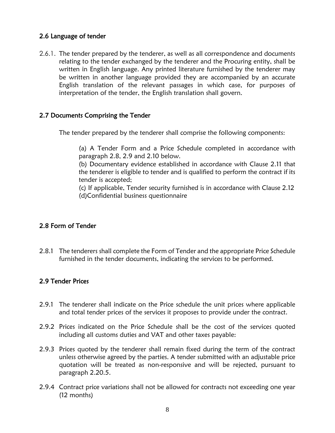#### <span id="page-7-0"></span>2.6 Language of tender

2.6.1. The tender prepared by the tenderer, as well as all correspondence and documents relating to the tender exchanged by the tenderer and the Procuring entity, shall be written in English language. Any printed literature furnished by the tenderer may be written in another language provided they are accompanied by an accurate English translation of the relevant passages in which case, for purposes of interpretation of the tender, the English translation shall govern.

#### <span id="page-7-1"></span>2.7 Documents Comprising the Tender

The tender prepared by the tenderer shall comprise the following components:

(a) A Tender Form and a Price Schedule completed in accordance with paragraph 2.8, 2.9 and 2.10 below.

(b) Documentary evidence established in accordance with Clause 2.11 that the tenderer is eligible to tender and is qualified to perform the contract if its tender is accepted;

(c) If applicable, Tender security furnished is in accordance with Clause 2.12 (d)Confidential business questionnaire

#### <span id="page-7-2"></span>2.8 Form of Tender

2.8.1 The tenderers shall complete the Form of Tender and the appropriate Price Schedule furnished in the tender documents, indicating the services to be performed.

#### <span id="page-7-3"></span>2.9 Tender Prices

- 2.9.1 The tenderer shall indicate on the Price schedule the unit prices where applicable and total tender prices of the services it proposes to provide under the contract.
- 2.9.2 Prices indicated on the Price Schedule shall be the cost of the services quoted including all customs duties and VAT and other taxes payable:
- 2.9.3 Prices quoted by the tenderer shall remain fixed during the term of the contract unless otherwise agreed by the parties. A tender submitted with an adjustable price quotation will be treated as non-responsive and will be rejected, pursuant to paragraph 2.20.5.
- 2.9.4 Contract price variations shall not be allowed for contracts not exceeding one year (12 months)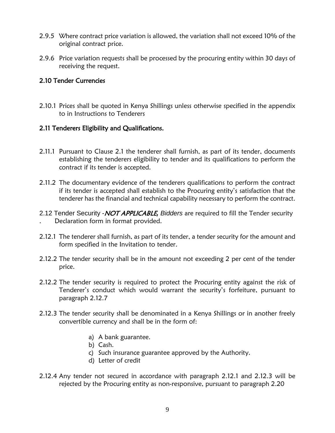- 2.9.5 Where contract price variation is allowed, the variation shall not exceed 10% of the original contract price.
- 2.9.6 Price variation requests shall be processed by the procuring entity within 30 days of receiving the request.

#### <span id="page-8-0"></span>2.10 Tender Currencies

2.10.1 Prices shall be quoted in Kenya Shillings unless otherwise specified in the appendix to in Instructions to Tenderers

#### <span id="page-8-1"></span>2.11 Tenderers Eligibility and Qualifications.

- 2.11.1 Pursuant to Clause 2.1 the tenderer shall furnish, as part of its tender, documents establishing the tenderers eligibility to tender and its qualifications to perform the contract if its tender is accepted.
- 2.11.2 The documentary evidence of the tenderers qualifications to perform the contract if its tender is accepted shall establish to the Procuring entity's satisfaction that the tenderer has the financial and technical capability necessary to perform the contract.
- 2.12 Tender Security -NOT APPLICABLE*, Bidders* are required to fill the Tender security . Declaration form in format provided.
- 2.12.1 The tenderer shall furnish, as part of its tender, a tender security for the amount and form specified in the Invitation to tender.
- 2.12.2 The tender security shall be in the amount not exceeding 2 per cent of the tender price.
- 2.12.2 The tender security is required to protect the Procuring entity against the risk of Tenderer's conduct which would warrant the security's forfeiture, pursuant to paragraph 2.12.7
- 2.12.3 The tender security shall be denominated in a Kenya Shillings or in another freely convertible currency and shall be in the form of:
	- a) A bank guarantee.
	- b) Cash.
	- c) Such insurance guarantee approved by the Authority.
	- d) Letter of credit
- 2.12.4 Any tender not secured in accordance with paragraph 2.12.1 and 2.12.3 will be rejected by the Procuring entity as non-responsive, pursuant to paragraph 2.20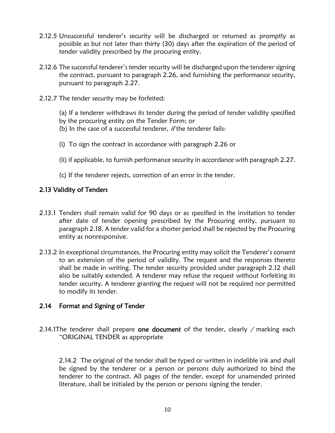- 2.12.5 Unsuccessful tenderer's security will be discharged or returned as promptly as possible as but not later than thirty (30) days after the expiration of the period of tender validity prescribed by the procuring entity.
- 2.12.6 The successful tenderer's tender security will be discharged upon the tenderer signing the contract, pursuant to paragraph 2.26, and furnishing the performance security, pursuant to paragraph 2.27.
- 2.12.7 The tender security may be forfeited:
	- (a) If a tenderer withdraws its tender during the period of tender validity specified
	- by the procuring entity on the Tender Form; or
	- (b) In the case of a successful tenderer, *if* the tenderer fails:
	- (i) To sign the contract in accordance with paragraph 2.26 or
	- (ii) if applicable, to furnish performance security in accordance with paragraph 2.27.
	- (c) If the tenderer rejects, correction of an error in the tender.

#### <span id="page-9-0"></span>2.13 Validity of Tenders

- 2.13.1 Tenders shall remain valid for 90 days or as specified in the invitation to tender after date of tender opening prescribed by the Procuring entity, pursuant to paragraph 2.18. A tender valid for a shorter period shall be rejected by the Procuring entity as nonresponsive.
- 2.13.2 In exceptional circumstances, the Procuring entity may solicit the Tenderer's consent to an extension of the period of validity. The request and the responses thereto shall be made in writing. The tender security provided under paragraph 2.12 shall also be suitably extended. A tenderer may refuse the request without forfeiting its tender security. A tenderer granting the request will not be required nor permitted to modify its tender.

#### <span id="page-9-1"></span>2.14 Format and Signing of Tender

2.14.1The tenderer shall prepare one document of the tender, clearly  $\ell$  marking each "ORIGINAL TENDER as appropriate

2.14.2 The original of the tender shall be typed or written in indelible ink and shall be signed by the tenderer or a person or persons duly authorized to bind the tenderer to the contract. All pages of the tender, except for unamended printed literature, shall be initialed by the person or persons signing the tender.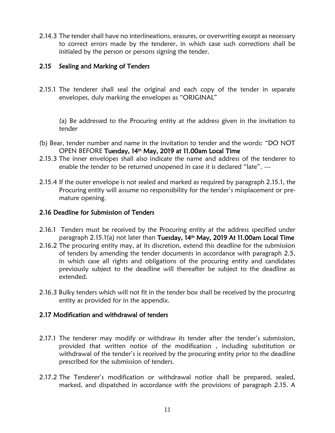2.14.3 The tender shall have no interlineations, erasures, or overwriting except as necessary to correct errors made by the tenderer, in which case such corrections shall be initialed by the person or persons signing the tender.

#### <span id="page-10-0"></span>2.15 Sealing and Marking of Tenders

2.15.1 The tenderer shall seal the original and each copy of the tender in separate envelopes, duly marking the envelopes as "ORIGINAL"

(a) Be addressed to the Procuring entity at the address given in the invitation to tender

- (b) Bear, tender number and name in the invitation to tender and the words: "DO NOT OPEN BEFORE Tuesday, 14<sup>th</sup> May, 2019 at 11.00am Local Time
- 2.15.3 The inner envelopes shall also indicate the name and address of the tenderer to enable the tender to be returned unopened in case it is declared "late".  $-$
- 2.15.4 If the outer envelope is not sealed and marked as required by paragraph 2.15.1, the Procuring entity will assume no responsibility for the tender's misplacement or premature opening.

#### <span id="page-10-1"></span>2.16 Deadline for Submission of Tenders

- 2.16.1 Tenders must be received by the Procuring entity at the address specified under paragraph 2.15.1(a) not later than **Tuesday, 14<sup>th</sup> May, 2019 At 11.00am Local Time**
- 2.16.2 The procuring entity may, at its discretion, extend this deadline for the submission of tenders by amending the tender documents in accordance with paragraph 2.5, in which case all rights and obligations of the procuring entity and candidates previously subject to the deadline will thereafter be subject to the deadline as extended.
- 2.16.3 Bulky tenders which will not fit in the tender box shall be received by the procuring entity as provided for in the appendix.

#### <span id="page-10-2"></span>2.17 Modification and withdrawal of tenders

- 2.17.1 The tenderer may modify or withdraw its tender after the tender's submission, provided that written notice of the modification , including substitution or withdrawal of the tender's is received by the procuring entity prior to the deadline prescribed for the submission of tenders.
- 2.17.2 The Tenderer's modification or withdrawal notice shall be prepared, sealed, marked, and dispatched in accordance with the provisions of paragraph 2.15. A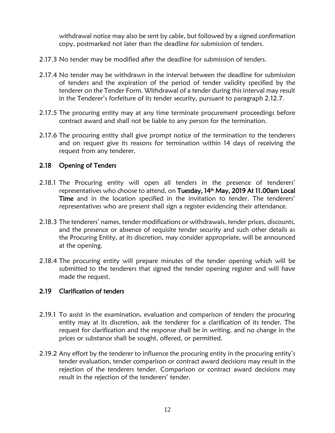withdrawal notice may also be sent by cable, but followed by a signed confirmation copy, postmarked not later than the deadline for submission of tenders.

- 2.17.3 No tender may be modified after the deadline for submission of tenders.
- 2.17.4 No tender may be withdrawn in the interval between the deadline for submission of tenders and the expiration of the period of tender validity specified by the tenderer on the Tender Form. Withdrawal of a tender during this interval may result in the Tenderer's forfeiture of its tender security, pursuant to paragraph 2.12.7.
- 2.17.5 The procuring entity may at any time terminate procurement proceedings before contract award and shall not be liable to any person for the termination.
- 2.17.6 The procuring entity shall give prompt notice of the termination to the tenderers and on request give its reasons for termination within 14 days of receiving the request from any tenderer.

#### <span id="page-11-0"></span>2.18 Opening of Tenders

- 2.18.1 The Procuring entity will open all tenders in the presence of tenderers' representatives who choose to attend, on Tuesday, 14<sup>th</sup> May, 2019 At 11.00am Local Time and in the location specified in the invitation to tender. The tenderers' representatives who are present shall sign a register evidencing their attendance.
- 2.18.3 The tenderers' names, tender modifications or withdrawals, tender prices, discounts, and the presence or absence of requisite tender security and such other details as the Procuring Entity, at its discretion, may consider appropriate, will be announced at the opening.
- 2.18.4 The procuring entity will prepare minutes of the tender opening which will be submitted to the tenderers that signed the tender opening register and will have made the request.

#### <span id="page-11-1"></span>2.19 Clarification of tenders

- 2.19.1 To assist in the examination, evaluation and comparison of tenders the procuring entity may at its discretion, ask the tenderer for a clarification of its tender. The request for clarification and the response shall be in writing, and no change in the prices or substance shall be sought, offered, or permitted.
- 2.19.2 Any effort by the tenderer to influence the procuring entity in the procuring entity's tender evaluation, tender comparison or contract award decisions may result in the rejection of the tenderers tender. Comparison or contract award decisions may result in the rejection of the tenderers' tender.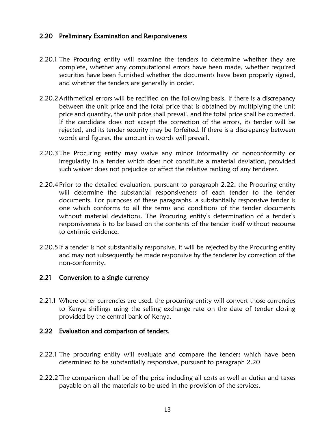#### <span id="page-12-0"></span>2.20 Preliminary Examination and Responsiveness

- 2.20.1 The Procuring entity will examine the tenders to determine whether they are complete, whether any computational errors have been made, whether required securities have been furnished whether the documents have been properly signed, and whether the tenders are generally in order.
- 2.20.2Arithmetical errors will be rectified on the following basis. If there is a discrepancy between the unit price and the total price that is obtained by multiplying the unit price and quantity, the unit price shall prevail, and the total price shall be corrected. If the candidate does not accept the correction of the errors, its tender will be rejected, and its tender security may be forfeited. If there is a discrepancy between words and figures, the amount in words will prevail.
- 2.20.3The Procuring entity may waive any minor informality or nonconformity or irregularity in a tender which does not constitute a material deviation, provided such waiver does not prejudice or affect the relative ranking of any tenderer.
- 2.20.4Prior to the detailed evaluation, pursuant to paragraph 2.22, the Procuring entity will determine the substantial responsiveness of each tender to the tender documents. For purposes of these paragraphs, a substantially responsive tender is one which conforms to all the terms and conditions of the tender documents without material deviations. The Procuring entity's determination of a tender's responsiveness is to be based on the contents of the tender itself without recourse to extrinsic evidence.
- 2.20.5If a tender is not substantially responsive, it will be rejected by the Procuring entity and may not subsequently be made responsive by the tenderer by correction of the non-conformity.

#### <span id="page-12-1"></span>2.21 Conversion to a single currency

2.21.1 Where other currencies are used, the procuring entity will convert those currencies to Kenya shillings using the selling exchange rate on the date of tender closing provided by the central bank of Kenya.

#### <span id="page-12-2"></span>2.22 Evaluation and comparison of tenders.

- 2.22.1 The procuring entity will evaluate and compare the tenders which have been determined to be substantially responsive, pursuant to paragraph 2.20
- 2.22.2The comparison shall be of the price including all costs as well as duties and taxes payable on all the materials to be used in the provision of the services.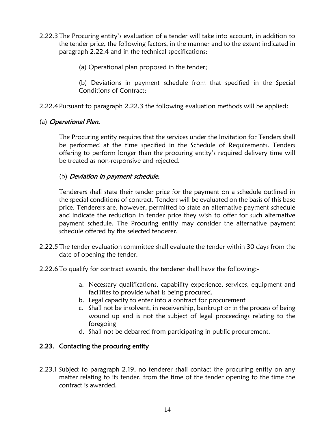- 2.22.3The Procuring entity's evaluation of a tender will take into account, in addition to the tender price, the following factors, in the manner and to the extent indicated in paragraph 2.22.4 and in the technical specifications:
	- (a) Operational plan proposed in the tender;

(b) Deviations in payment schedule from that specified in the Special Conditions of Contract;

2.22.4 Pursuant to paragraph 2.22.3 the following evaluation methods will be applied:

#### (a) Operational Plan.

The Procuring entity requires that the services under the Invitation for Tenders shall be performed at the time specified in the Schedule of Requirements. Tenders offering to perform longer than the procuring entity's required delivery time will be treated as non-responsive and rejected.

#### (b) Deviation in payment schedule.

Tenderers shall state their tender price for the payment on a schedule outlined in the special conditions of contract. Tenders will be evaluated on the basis of this base price. Tenderers are, however, permitted to state an alternative payment schedule and indicate the reduction in tender price they wish to offer for such alternative payment schedule. The Procuring entity may consider the alternative payment schedule offered by the selected tenderer.

- 2.22.5The tender evaluation committee shall evaluate the tender within 30 days from the date of opening the tender.
- 2.22.6To qualify for contract awards, the tenderer shall have the following:
	- a. Necessary qualifications, capability experience, services, equipment and facilities to provide what is being procured.
	- b. Legal capacity to enter into a contract for procurement
	- c. Shall not be insolvent, in receivership, bankrupt or in the process of being wound up and is not the subject of legal proceedings relating to the foregoing
	- d. Shall not be debarred from participating in public procurement.

#### <span id="page-13-0"></span>2.23. Contacting the procuring entity

2.23.1 Subject to paragraph 2.19, no tenderer shall contact the procuring entity on any matter relating to its tender, from the time of the tender opening to the time the contract is awarded.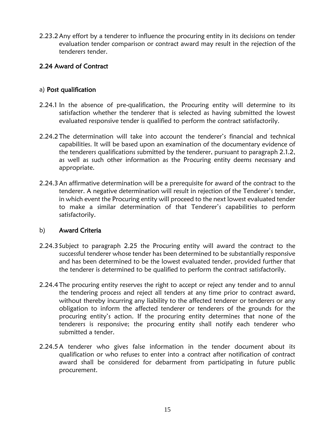2.23.2Any effort by a tenderer to influence the procuring entity in its decisions on tender evaluation tender comparison or contract award may result in the rejection of the tenderers tender.

#### <span id="page-14-0"></span>2.24 Award of Contract

#### a) Post qualification

- 2.24.1 In the absence of pre-qualification, the Procuring entity will determine to its satisfaction whether the tenderer that is selected as having submitted the lowest evaluated responsive tender is qualified to perform the contract satisfactorily.
- 2.24.2The determination will take into account the tenderer's financial and technical capabilities. It will be based upon an examination of the documentary evidence of the tenderers qualifications submitted by the tenderer, pursuant to paragraph 2.1.2, as well as such other information as the Procuring entity deems necessary and appropriate.
- 2.24.3An affirmative determination will be a prerequisite for award of the contract to the tenderer. A negative determination will result in rejection of the Tenderer's tender, in which event the Procuring entity will proceed to the next lowest evaluated tender to make a similar determination of that Tenderer's capabilities to perform satisfactorily.

#### b) Award Criteria

- 2.24.3 Subject to paragraph 2.25 the Procuring entity will award the contract to the successful tenderer whose tender has been determined to be substantially responsive and has been determined to be the lowest evaluated tender, provided further that the tenderer is determined to be qualified to perform the contract satisfactorily.
- 2.24.4The procuring entity reserves the right to accept or reject any tender and to annul the tendering process and reject all tenders at any time prior to contract award, without thereby incurring any liability to the affected tenderer or tenderers or any obligation to inform the affected tenderer or tenderers of the grounds for the procuring entity's action. If the procuring entity determines that none of the tenderers is responsive; the procuring entity shall notify each tenderer who submitted a tender.
- 2.24.5A tenderer who gives false information in the tender document about its qualification or who refuses to enter into a contract after notification of contract award shall be considered for debarment from participating in future public procurement.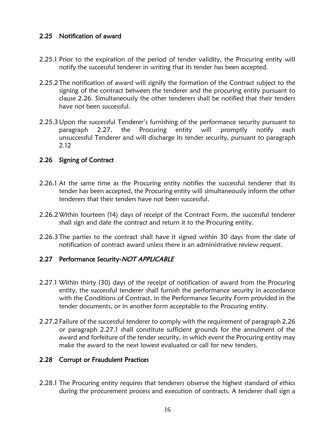#### <span id="page-15-0"></span>2.25 Notification of award

- 2.25.1 Prior to the expiration of the period of tender validity, the Procuring entity will notify the successful tenderer in writing that its tender has been accepted.
- 2.25.2The notification of award will signify the formation of the Contract subject to the signing of the contract between the tenderer and the procuring entity pursuant to clause 2.26. Simultaneously the other tenderers shall be notified that their tenders have not been successful.
- 2.25.3Upon the successful Tenderer's furnishing of the performance security pursuant to paragraph 2.27, the Procuring entity will promptly notify each unsuccessful Tenderer and will discharge its tender security, pursuant to paragraph 2.12

#### <span id="page-15-1"></span>2.26 Signing of Contract

- 2.26.1 At the same time as the Procuring entity notifies the successful tenderer that its tender has been accepted, the Procuring entity will simultaneously inform the other tenderers that their tenders have not been successful.
- 2.26.2Within fourteen (14) days of receipt of the Contract Form, the successful tenderer shall sign and date the contract and return it to the Procuring entity.
- 2.26.3The parties to the contract shall have it signed within 30 days from the date of notification of contract award unless there is an administrative review request.

#### <span id="page-15-2"></span>2.27 Performance Security-NOT APPLICABLE

- 2.27.1 Within thirty (30) days of the receipt of notification of award from the Procuring entity, the successful tenderer shall furnish the performance security in accordance with the Conditions of Contract, in the Performance Security Form provided in the tender documents, or in another form acceptable to the Procuring entity.
- 2.27.2 Failure of the successful tenderer to comply with the requirement of paragraph 2.26 or paragraph 2.27.1 shall constitute sufficient grounds for the annulment of the award and forfeiture of the tender security, in which event the Procuring entity may make the award to the next lowest evaluated or call for new tenders.

#### <span id="page-15-3"></span>2.28 Corrupt or Fraudulent Practices

2.28.1 The Procuring entity requires that tenderers observe the highest standard of ethics during the procurement process and execution of contracts. A tenderer shall sign a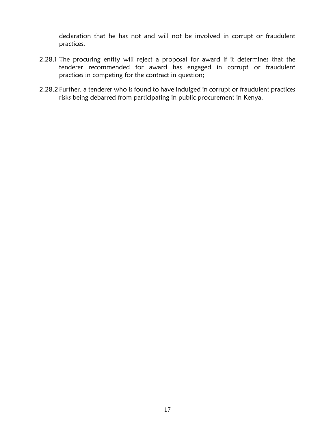declaration that he has not and will not be involved in corrupt or fraudulent practices.

- 2.28.1 The procuring entity will reject a proposal for award if it determines that the tenderer recommended for award has engaged in corrupt or fraudulent practices in competing for the contract in question;
- 2.28.2 Further, a tenderer who is found to have indulged in corrupt or fraudulent practices risks being debarred from participating in public procurement in Kenya.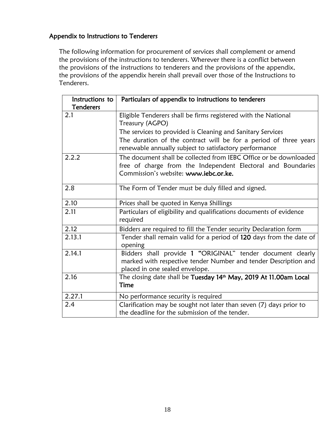## Appendix to Instructions to Tenderers

The following information for procurement of services shall complement or amend the provisions of the instructions to tenderers. Wherever there is a conflict between the provisions of the instructions to tenderers and the provisions of the appendix, the provisions of the appendix herein shall prevail over those of the Instructions to Tenderers.

| Instructions to  | Particulars of appendix to instructions to tenderers                                                                              |  |
|------------------|-----------------------------------------------------------------------------------------------------------------------------------|--|
| <b>Tenderers</b> |                                                                                                                                   |  |
| 2.1              | Eligible Tenderers shall be firms registered with the National                                                                    |  |
|                  | Treasury (AGPO)                                                                                                                   |  |
|                  | The services to provided is Cleaning and Sanitary Services                                                                        |  |
|                  | The duration of the contract will be for a period of three years<br>renewable annually subject to satisfactory performance        |  |
| 2.2.2            | The document shall be collected from IEBC Office or be downloaded<br>free of charge from the Independent Electoral and Boundaries |  |
|                  | Commission's website: www.iebc.or.ke.                                                                                             |  |
| 2.8              | The Form of Tender must be duly filled and signed.                                                                                |  |
| 2.10             | Prices shall be quoted in Kenya Shillings                                                                                         |  |
| 2.11             | Particulars of eligibility and qualifications documents of evidence<br>required                                                   |  |
| 2.12             | Bidders are required to fill the Tender security Declaration form                                                                 |  |
| 2.13.1           | Tender shall remain valid for a period of 120 days from the date of<br>opening                                                    |  |
| 2.14.1           | Bidders shall provide 1 "ORIGINAL" tender document clearly                                                                        |  |
|                  | marked with respective tender Number and tender Description and<br>placed in one sealed envelope.                                 |  |
| 2.16             | The closing date shall be Tuesday 14th May, 2019 At 11.00am Local                                                                 |  |
|                  | Time                                                                                                                              |  |
| 2.27.1           | No performance security is required                                                                                               |  |
| 2.4              | Clarification may be sought not later than seven (7) days prior to                                                                |  |
|                  | the deadline for the submission of the tender.                                                                                    |  |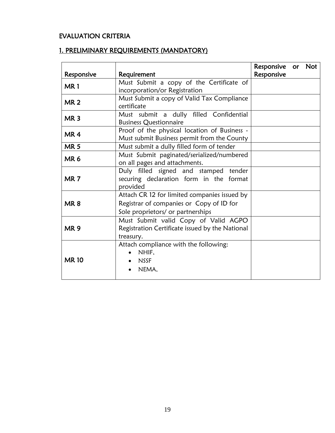# EVALUATION CRITERIA

# 1. PRELIMINARY REQUIREMENTS (MANDATORY)

| Responsive      | Requirement                                                                                                                   | Responsive or Not<br>Responsive |  |
|-----------------|-------------------------------------------------------------------------------------------------------------------------------|---------------------------------|--|
| MR1             | Must Submit a copy of the Certificate of<br>incorporation/or Registration                                                     |                                 |  |
| <b>MR2</b>      | Must Submit a copy of Valid Tax Compliance<br>certificate                                                                     |                                 |  |
| MR <sub>3</sub> | Must submit a dully filled Confidential<br><b>Business Questionnaire</b>                                                      |                                 |  |
| MR <sub>4</sub> | Proof of the physical location of Business -<br>Must submit Business permit from the County                                   |                                 |  |
| <b>MR5</b>      | Must submit a dully filled form of tender                                                                                     |                                 |  |
| MR <sub>6</sub> | Must Submit paginated/serialized/numbered<br>on all pages and attachments.                                                    |                                 |  |
| MR <sub>7</sub> | Duly filled signed and stamped tender<br>securing declaration form in the format<br>provided                                  |                                 |  |
| MR <sub>8</sub> | Attach CR 12 for limited companies issued by<br>Registrar of companies or Copy of ID for<br>Sole proprietors/ or partnerships |                                 |  |
| <b>MR9</b>      | Must Submit valid Copy of Valid AGPO<br>Registration Certificate issued by the National<br>treasury.                          |                                 |  |
| <b>MR10</b>     | Attach compliance with the following:<br>NHIF,<br><b>NSSF</b><br>NEMA,                                                        |                                 |  |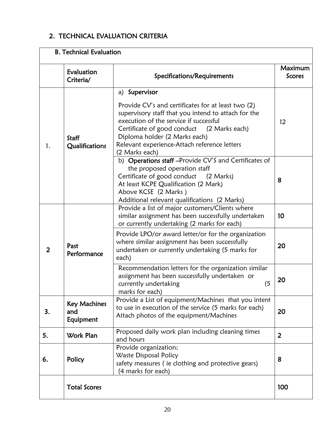# 2. TECHNICAL EVALUATION CRITERIA

| <b>B. Technical Evaluation</b> |                                         |                                                                                                                                                                                                                                                                                                                       |                                 |  |
|--------------------------------|-----------------------------------------|-----------------------------------------------------------------------------------------------------------------------------------------------------------------------------------------------------------------------------------------------------------------------------------------------------------------------|---------------------------------|--|
|                                | Evaluation<br>Criteria/                 | Specifications/Requirements                                                                                                                                                                                                                                                                                           | <b>Maximum</b><br><b>Scores</b> |  |
| 1.                             | Staff<br>Qualifications                 | a) Supervisor<br>Provide CV's and certificates for at least two (2)<br>supervisory staff that you intend to attach for the<br>execution of the service if successful<br>Certificate of good conduct (2 Marks each)<br>Diploma holder (2 Marks each)<br>Relevant experience-Attach reference letters<br>(2 Marks each) | 12                              |  |
|                                |                                         | b) Operations staff-Provide CV'S and Certificates of<br>the proposed operation staff<br>Certificate of good conduct (2 Marks)<br>At least KCPE Qualification (2 Mark)<br>Above KCSE (2 Marks)<br>Additional relevant qualifications (2 Marks)                                                                         | 8                               |  |
| $\overline{2}$                 | Past<br>Performance                     | Provide a list of major customers/Clients where<br>similar assignment has been successfully undertaken<br>or currently undertaking (2 marks for each)                                                                                                                                                                 | 10                              |  |
|                                |                                         | Provide LPO/or award letter/or for the organization<br>where similar assignment has been successfully<br>undertaken or currently undertaking (5 marks for<br>each)                                                                                                                                                    | 20                              |  |
|                                |                                         | Recommendation letters for the organization similar<br>assignment has been successfully undertaken or<br>(5)<br>currently undertaking<br>marks for each)                                                                                                                                                              | 20                              |  |
| 3.                             | <b>Key Machines</b><br>and<br>Equipment | Provide a List of equipment/Machines that you intent<br>to use in execution of the service (5 marks for each)<br>Attach photos of the equipment/Machines                                                                                                                                                              |                                 |  |
| 5.                             | Work Plan                               | Proposed daily work plan including cleaning times<br>and hours                                                                                                                                                                                                                                                        | $\overline{2}$                  |  |
| 6.                             | Policy                                  | Provide organization;<br>Waste Disposal Policy<br>safety measures (ie clothing and protective gears)<br>(4 marks for each)                                                                                                                                                                                            | 8                               |  |
|                                | <b>Total Scores</b>                     |                                                                                                                                                                                                                                                                                                                       | 100                             |  |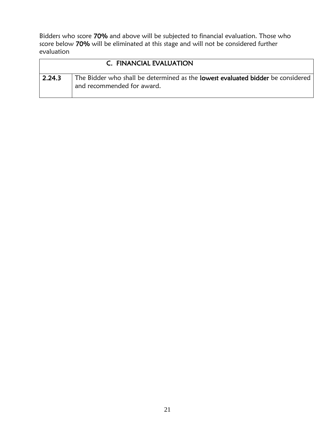Bidders who score 70% and above will be subjected to financial evaluation. Those who score below 70% will be eliminated at this stage and will not be considered further evaluation

|        | C. FINANCIAL EVALUATION                                                                                       |
|--------|---------------------------------------------------------------------------------------------------------------|
| 2.24.3 | The Bidder who shall be determined as the lowest evaluated bidder be considered<br>and recommended for award. |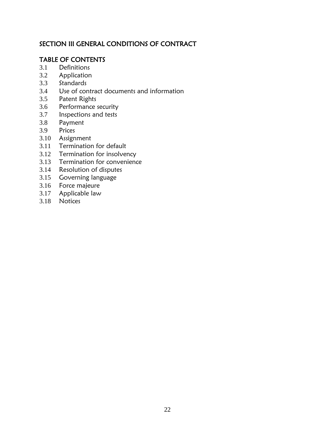# SECTION III GENERAL CONDITIONS OF CONTRACT

# TABLE OF CONTENTS

- 3.1 Definitions
- 3.2 Application
- 3.3 Standards
- 3.4 Use of contract documents and information
- 3.5 Patent Rights
- 3.6 Performance security
- 3.7 Inspections and tests
- 3.8 Payment
- 3.9 Prices
- 3.10 Assignment
- 3.11 Termination for default
- 3.12 Termination for insolvency
- 3.13 Termination for convenience
- 3.14 Resolution of disputes
- 3.15 Governing language
- 3.16 Force majeure
- 3.17 Applicable law
- 3.18 Notices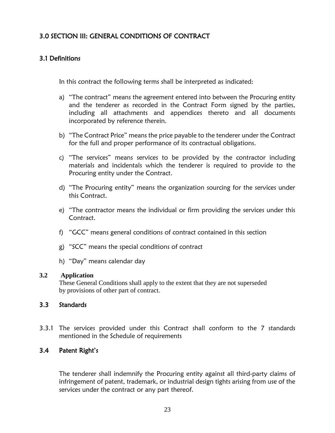# <span id="page-22-0"></span>3.0 SECTION III: GENERAL CONDITIONS OF CONTRACT

#### <span id="page-22-1"></span>3.1 Definitions

In this contract the following terms shall be interpreted as indicated:

- a) "The contract" means the agreement entered into between the Procuring entity and the tenderer as recorded in the Contract Form signed by the parties, including all attachments and appendices thereto and all documents incorporated by reference therein.
- b) "The Contract Price" means the price payable to the tenderer under the Contract for the full and proper performance of its contractual obligations.
- c) "The services" means services to be provided by the contractor including materials and incidentals which the tenderer is required to provide to the Procuring entity under the Contract.
- d) "The Procuring entity" means the organization sourcing for the services under this Contract.
- e) "The contractor means the individual or firm providing the services under this Contract.
- f) "GCC" means general conditions of contract contained in this section
- g) "SCC" means the special conditions of contract
- h) "Day" means calendar day

#### **3.2 Application**

These General Conditions shall apply to the extent that they are not superseded by provisions of other part of contract.

#### <span id="page-22-2"></span>3.3 Standards

3.3.1 The services provided under this Contract shall conform to the 7 standards mentioned in the Schedule of requirements

#### <span id="page-22-3"></span>3.4 Patent Right's

The tenderer shall indemnify the Procuring entity against all third-party claims of infringement of patent, trademark, or industrial design tights arising from use of the services under the contract or any part thereof.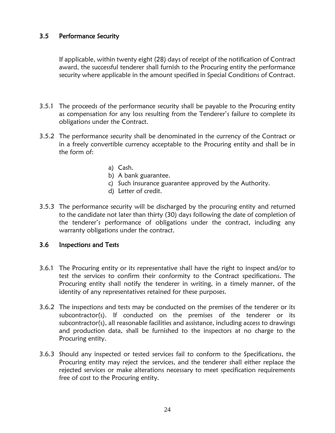#### <span id="page-23-0"></span>3.5 Performance Security

If applicable, within twenty eight (28) days of receipt of the notification of Contract award, the successful tenderer shall furnish to the Procuring entity the performance security where applicable in the amount specified in Special Conditions of Contract.

- 3.5.1 The proceeds of the performance security shall be payable to the Procuring entity as compensation for any loss resulting from the Tenderer's failure to complete its obligations under the Contract.
- 3.5.2 The performance security shall be denominated in the currency of the Contract or in a freely convertible currency acceptable to the Procuring entity and shall be in the form of:
	- a) Cash.
	- b) A bank guarantee.
	- c) Such insurance guarantee approved by the Authority.
	- d) Letter of credit.
- 3.5.3 The performance security will be discharged by the procuring entity and returned to the candidate not later than thirty (30) days following the date of completion of the tenderer's performance of obligations under the contract, including any warranty obligations under the contract.

#### <span id="page-23-1"></span>3.6 Inspections and Tests

- 3.6.1 The Procuring entity or its representative shall have the right to inspect and/or to test the services to confirm their conformity to the Contract specifications. The Procuring entity shall notify the tenderer in writing, in a timely manner, of the identity of any representatives retained for these purposes.
- 3.6.2 The inspections and tests may be conducted on the premises of the tenderer or its subcontractor(s). If conducted on the premises of the tenderer or its subcontractor(s), all reasonable facilities and assistance, including access to drawings and production data, shall be furnished to the inspectors at no charge to the Procuring entity.
- 3.6.3 Should any inspected or tested services fail to conform to the Specifications, the Procuring entity may reject the services, and the tenderer shall either replace the rejected services or make alterations necessary to meet specification requirements free of cost to the Procuring entity.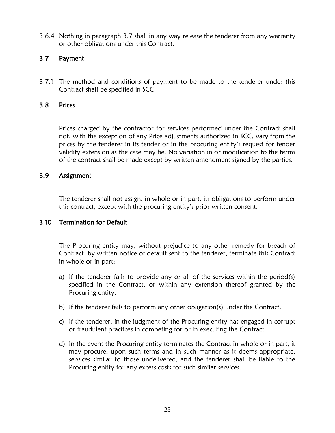3.6.4 Nothing in paragraph 3.7 shall in any way release the tenderer from any warranty or other obligations under this Contract.

#### <span id="page-24-0"></span>3.7 Payment

3.7.1 The method and conditions of payment to be made to the tenderer under this Contract shall be specified in SCC

#### <span id="page-24-1"></span>3.8 Prices

Prices charged by the contractor for services performed under the Contract shall not, with the exception of any Price adjustments authorized in SCC, vary from the prices by the tenderer in its tender or in the procuring entity's request for tender validity extension as the case may be. No variation in or modification to the terms of the contract shall be made except by written amendment signed by the parties.

#### <span id="page-24-2"></span>3.9 Assignment

The tenderer shall not assign, in whole or in part, its obligations to perform under this contract, except with the procuring entity's prior written consent.

#### <span id="page-24-3"></span>3.10 Termination for Default

The Procuring entity may, without prejudice to any other remedy for breach of Contract, by written notice of default sent to the tenderer, terminate this Contract in whole or in part:

- a) If the tenderer fails to provide any or all of the services within the period(s) specified in the Contract, or within any extension thereof granted by the Procuring entity.
- b) If the tenderer fails to perform any other obligation(s) under the Contract.
- c) If the tenderer, in the judgment of the Procuring entity has engaged in corrupt or fraudulent practices in competing for or in executing the Contract.
- d) In the event the Procuring entity terminates the Contract in whole or in part, it may procure, upon such terms and in such manner as it deems appropriate, services similar to those undelivered, and the tenderer shall be liable to the Procuring entity for any excess costs for such similar services.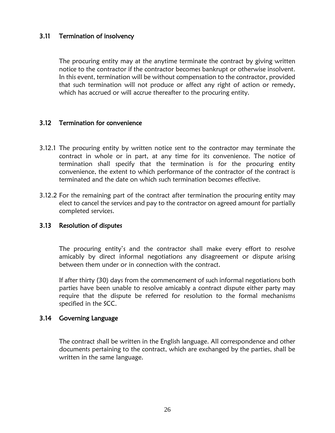#### <span id="page-25-0"></span>3.11 Termination of insolvency

The procuring entity may at the anytime terminate the contract by giving written notice to the contractor if the contractor becomes bankrupt or otherwise insolvent. In this event, termination will be without compensation to the contractor, provided that such termination will not produce or affect any right of action or remedy, which has accrued or will accrue thereafter to the procuring entity.

#### <span id="page-25-1"></span>3.12 Termination for convenience

- 3.12.1 The procuring entity by written notice sent to the contractor may terminate the contract in whole or in part, at any time for its convenience. The notice of termination shall specify that the termination is for the procuring entity convenience, the extent to which performance of the contractor of the contract is terminated and the date on which such termination becomes effective.
- 3.12.2 For the remaining part of the contract after termination the procuring entity may elect to cancel the services and pay to the contractor on agreed amount for partially completed services.

#### <span id="page-25-2"></span>3.13 Resolution of disputes

The procuring entity's and the contractor shall make every effort to resolve amicably by direct informal negotiations any disagreement or dispute arising between them under or in connection with the contract.

If after thirty (30) days from the commencement of such informal negotiations both parties have been unable to resolve amicably a contract dispute either party may require that the dispute be referred for resolution to the formal mechanisms specified in the SCC.

#### <span id="page-25-3"></span>3.14 Governing Language

The contract shall be written in the English language. All correspondence and other documents pertaining to the contract, which are exchanged by the parties, shall be written in the same language.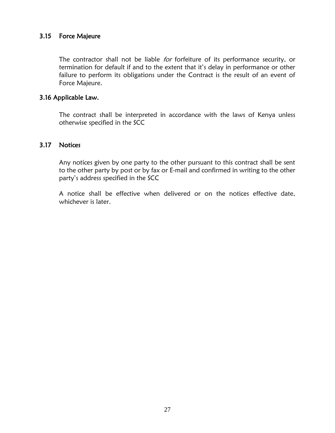#### <span id="page-26-0"></span>3.15 Force Majeure

The contractor shall not be liable for forfeiture of its performance security, or termination for default if and to the extent that it's delay in performance or other failure to perform its obligations under the Contract is the result of an event of Force Majeure.

#### <span id="page-26-1"></span>3.16 Applicable Law.

The contract shall be interpreted in accordance with the laws of Kenya unless otherwise specified in the SCC

#### <span id="page-26-2"></span>3.17 Notices

Any notices given by one party to the other pursuant to this contract shall be sent to the other party by post or by fax or E-mail and confirmed in writing to the other party's address specified in the SCC

A notice shall be effective when delivered or on the notices effective date, whichever is later.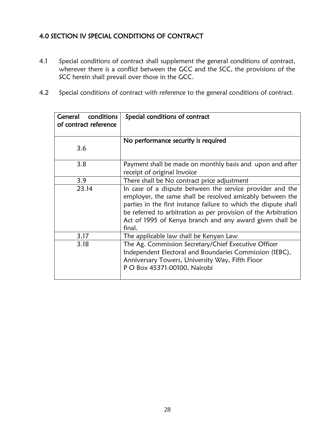# <span id="page-27-0"></span>4.0 SECTION IV SPECIAL CONDITIONS OF CONTRACT

- 4.1 Special conditions of contract shall supplement the general conditions of contract, wherever there is a conflict between the GCC and the SCC, the provisions of the SCC herein shall prevail over those in the GCC.
- 4.2 Special conditions of contract with reference to the general conditions of contract.

| General<br>conditions<br>of contract reference | Special conditions of contract                                                                                                                                                                                                                                                                                                     |  |
|------------------------------------------------|------------------------------------------------------------------------------------------------------------------------------------------------------------------------------------------------------------------------------------------------------------------------------------------------------------------------------------|--|
| 3.6                                            | No performance security is required                                                                                                                                                                                                                                                                                                |  |
| 3.8                                            | Payment shall be made on monthly basis and upon and after<br>receipt of original Invoice                                                                                                                                                                                                                                           |  |
| 3.9                                            | There shall be No contract price adjustment                                                                                                                                                                                                                                                                                        |  |
| 23.14                                          | In case of a dispute between the service provider and the<br>employer, the same shall be resolved amicably between the<br>parties in the first instance failure to which the dispute shall<br>be referred to arbitration as per provision of the Arbitration<br>Act of 1995 of Kenya branch and any award given shall be<br>final. |  |
| 3.17                                           | The applicable law shall be Kenyan Law                                                                                                                                                                                                                                                                                             |  |
| 3.18                                           | The Ag. Commission Secretary/Chief Executive Officer<br>Independent Electoral and Boundaries Commission (IEBC),<br>Anniversary Towers, University Way, Fifth Floor<br>P O Box 45371-00100, Nairobi                                                                                                                                 |  |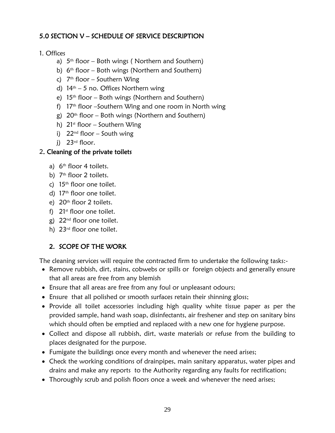# <span id="page-28-0"></span>5.0 SECTION V – SCHEDULE OF SERVICE DESCRIPTION

## 1. Offices

- a) 5 th floor Both wings ( Northern and Southern)
- b) 6<sup>th</sup> floor Both wings (Northern and Southern)
- c) 7 th floor Southern Wing
- d)  $14<sup>th</sup> 5$  no. Offices Northern wing
- e)  $15<sup>th</sup>$  floor Both wings (Northern and Southern)
- f) 17<sup>th</sup> floor –Southern Wing and one room in North wing
- g)  $20^{th}$  floor Both wings (Northern and Southern)
- h)  $21<sup>st</sup>$  floor Southern Wing
- i)  $22^{nd}$  floor South wing
- i) 23<sup>rd</sup> floor.

## 2. Cleaning of the private toilets

- a) 6<sup>th</sup> floor 4 toilets.
- b) 7<sup>th</sup> floor 2 toilets.
- c)  $15<sup>th</sup>$  floor one toilet.
- d) 17<sup>th</sup> floor one toilet.
- e) 20<sup>th</sup> floor 2 toilets.
- f)  $21<sup>st</sup>$  floor one toilet.
- g) 22nd floor one toilet.
- h) 23rd floor one toilet.

# 2. SCOPE OF THE WORK

The cleaning services will require the contracted firm to undertake the following tasks:-

- Remove rubbish, dirt, stains, cobwebs or spills or foreign objects and generally ensure that all areas are free from any blemish
- Ensure that all areas are free from any foul or unpleasant odours;
- Ensure that all polished or smooth surfaces retain their shinning gloss;
- Provide all toilet accessories including high quality white tissue paper as per the provided sample, hand wash soap, disinfectants, air freshener and step on sanitary bins which should often be emptied and replaced with a new one for hygiene purpose.
- Collect and dispose all rubbish, dirt, waste materials or refuse from the building to places designated for the purpose.
- Fumigate the buildings once every month and whenever the need arises;
- Check the working conditions of drainpipes, main sanitary apparatus, water pipes and drains and make any reports to the Authority regarding any faults for rectification;
- Thoroughly scrub and polish floors once a week and whenever the need arises;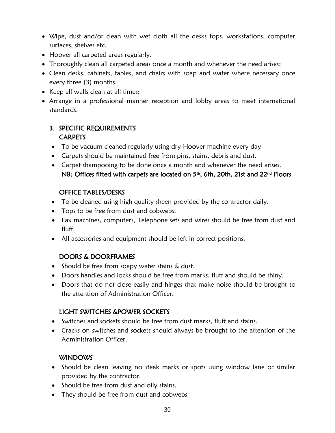- Wipe, dust and/or clean with wet cloth all the desks tops, workstations, computer surfaces, shelves etc.
- Hoover all carpeted areas regularly.
- Thoroughly clean all carpeted areas once a month and whenever the need arises;
- Clean desks, cabinets, tables, and chairs with soap and water where necessary once every three (3) months.
- Keep all walls clean at all times;
- Arrange in a professional manner reception and lobby areas to meet international standards.

# 3. SPECIFIC REQUIREMENTS **CARPETS**

- To be vacuum cleaned regularly using dry-Hoover machine every day
- Carpets should be maintained free from pins, stains, debris and dust.
- Carpet shampooing to be done once a month and whenever the need arises. NB: Offices fitted with carpets are located on 5<sup>th</sup>, 6th, 20th, 21st and 22<sup>nd</sup> Floors

# OFFICE TABLES/DESKS

- To be cleaned using high quality sheen provided by the contractor daily.
- Tops to be free from dust and cobwebs.
- Fax machines, computers, Telephone sets and wires should be free from dust and fluff.
- All accessories and equipment should be left in correct positions.

# DOORS & DOORFRAMES

- Should be free from soapy water stains & dust.
- Doors handles and locks should be free from marks, fluff and should be shiny.
- Doors that do not close easily and hinges that make noise should be brought to the attention of Administration Officer.

# LIGHT SWITCHES &POWER SOCKETS

- Switches and sockets should be free from dust marks, fluff and stains.
- Cracks on switches and sockets should always be brought to the attention of the Administration Officer.

# WINDOWS

- Should be clean leaving no steak marks or spots using window lane or similar provided by the contractor.
- Should be free from dust and oily stains.
- They should be free from dust and cobwebs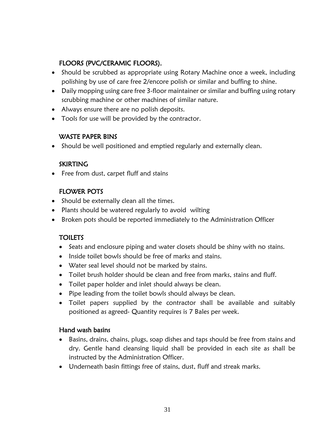# FLOORS (PVC/CERAMIC FLOORS).

- Should be scrubbed as appropriate using Rotary Machine once a week, including polishing by use of care free 2/encore polish or similar and buffing to shine.
- Daily mopping using care free 3-floor maintainer or similar and buffing using rotary scrubbing machine or other machines of similar nature.
- Always ensure there are no polish deposits.
- Tools for use will be provided by the contractor.

# WASTE PAPER BINS

Should be well positioned and emptied regularly and externally clean.

# **SKIRTING**

Free from dust, carpet fluff and stains

# FLOWER POTS

- Should be externally clean all the times.
- Plants should be watered regularly to avoid wilting
- Broken pots should be reported immediately to the Administration Officer

# **TOILETS**

- Seats and enclosure piping and water closets should be shiny with no stains.
- Inside toilet bowls should be free of marks and stains.
- Water seal level should not be marked by stains.
- Toilet brush holder should be clean and free from marks, stains and fluff.
- Toilet paper holder and inlet should always be clean.
- Pipe leading from the toilet bowls should always be clean.
- Toilet papers supplied by the contractor shall be available and suitably positioned as agreed- Quantity requires is 7 Bales per week.

# Hand wash basins

- Basins, drains, chains, plugs, soap dishes and taps should be free from stains and dry. Gentle hand cleansing liquid shall be provided in each site as shall be instructed by the Administration Officer.
- Underneath basin fittings free of stains, dust, fluff and streak marks.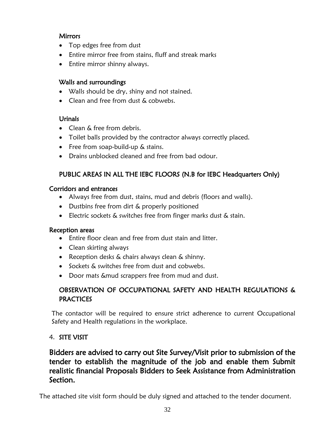# **Mirrors**

- Top edges free from dust
- Entire mirror free from stains, fluff and streak marks
- Entire mirror shinny always.

# Walls and surroundings

- Walls should be dry, shiny and not stained.
- Clean and free from dust & cobwebs.

# **Urinals**

- Clean & free from debris.
- Toilet balls provided by the contractor always correctly placed.
- Free from soap-build-up & stains.
- Drains unblocked cleaned and free from bad odour.

# PUBLIC AREAS IN ALL THE IEBC FLOORS (N.B for IEBC Headquarters Only)

# Corridors and entrances

- Always free from dust, stains, mud and debris (floors and walls).
- Dustbins free from dirt & properly positioned
- Electric sockets & switches free from finger marks dust & stain.

# Reception areas

- Entire floor clean and free from dust stain and litter.
- Clean skirting always
- Reception desks & chairs always clean & shinny.
- Sockets & switches free from dust and cobwebs.
- Door mats &mud scrappers free from mud and dust.

# OBSERVATION OF OCCUPATIONAL SAFETY AND HEALTH REGULATIONS & **PRACTICES**

The contactor will be required to ensure strict adherence to current Occupational Safety and Health regulations in the workplace.

# 4. SITE VISIT

# Bidders are advised to carry out Site Survey/Visit prior to submission of the tender to establish the magnitude of the job and enable them Submit realistic financial Proposals Bidders to Seek Assistance from Administration Section.

The attached site visit form should be duly signed and attached to the tender document.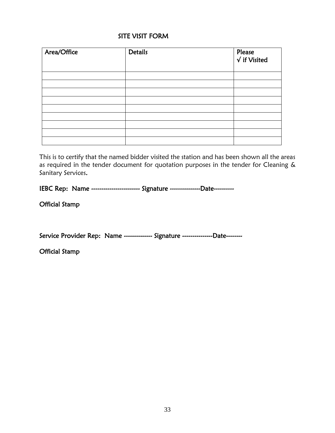#### SITE VISIT FORM

| Area/Office | <b>Details</b> | Please<br>$\sqrt{\text{if Visited}}$ |
|-------------|----------------|--------------------------------------|
|             |                |                                      |
|             |                |                                      |
|             |                |                                      |
|             |                |                                      |
|             |                |                                      |
|             |                |                                      |
|             |                |                                      |
|             |                |                                      |
|             |                |                                      |

This is to certify that the named bidder visited the station and has been shown all the areas as required in the tender document for quotation purposes in the tender for Cleaning & Sanitary Services.

IEBC Rep: Name ------------------------ Signature ---------------Date----------

Official Stamp

Service Provider Rep: Name -------------- Signature ----------------Date--------

Official Stamp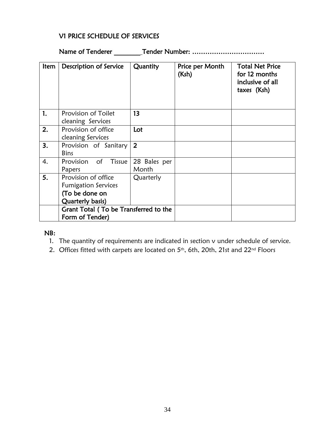# V1 PRICE SCHEDULE OF SERVICES

Name of Tenderer \_\_\_\_\_\_\_\_ Tender Number: ……………………………

| Item | Description of Service                                                                  | Quantity              | Price per Month<br>(Ksh) | <b>Total Net Price</b><br>for 12 months<br>inclusive of all<br>taxes (Ksh) |
|------|-----------------------------------------------------------------------------------------|-----------------------|--------------------------|----------------------------------------------------------------------------|
| 1.   | Provision of Toilet<br>cleaning Services                                                | 13                    |                          |                                                                            |
| 2.   | Provision of office<br>cleaning Services                                                | Lot                   |                          |                                                                            |
| 3.   | Provision of Sanitary<br><b>Bins</b>                                                    | $\overline{2}$        |                          |                                                                            |
| 4.   | Provision<br>$\circ$ of<br>Tissue<br>Papers                                             | 28 Bales per<br>Month |                          |                                                                            |
| 5.   | Provision of office<br><b>Fumigation Services</b><br>(To be done on<br>Quarterly basis) | Quarterly             |                          |                                                                            |
|      | Grant Total (To be Transferred to the<br>Form of Tender)                                |                       |                          |                                                                            |

#### NB:

- 1. The quantity of requirements are indicated in section v under schedule of service.
- 2. Offices fitted with carpets are located on  $5<sup>th</sup>$ , 6th, 20th, 21st and 22<sup>nd</sup> Floors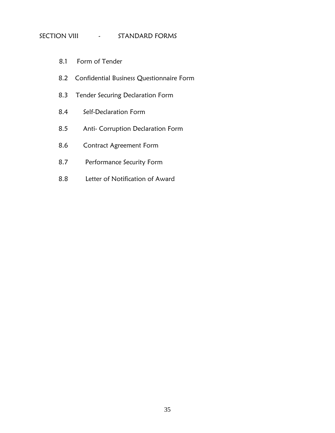#### SECTION VIII - STANDARD FORMS

- 8.1 Form of Tender
- 8.2 Confidential Business Questionnaire Form
- 8.3 Tender Securing Declaration Form
- 8.4 Self-Declaration Form
- 8.5 Anti- Corruption Declaration Form
- 8.6 Contract Agreement Form
- 8.7 Performance Security Form
- 8.8 Letter of Notification of Award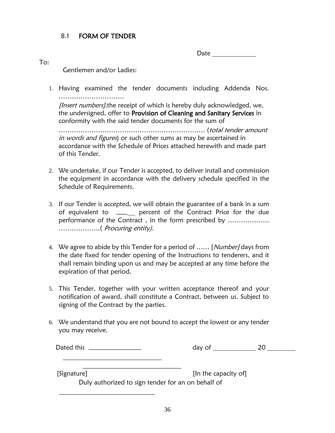### 8.1 FORM OF TENDER

Date

To:

Gentlemen and/or Ladies:

1. Having examined the tender documents including Addenda Nos. ……………………………………

*[Insert numbers]*.the receipt of which is hereby duly acknowledged, we, the undersigned, offer to Provision of Cleaning and Sanitary Services in conformity with the said tender documents for the sum of

…………………………………………………………. (total tender amount in words and figures) or such other sums as may be ascertained in accordance with the Schedule of Prices attached herewith and made part of this Tender.

- 2. We undertake, if our Tender is accepted, to deliver install and commission the equipment in accordance with the delivery schedule specified in the Schedule of Requirements.
- 3. If our Tender is accepted, we will obtain the guarantee of a bank in a sum of equivalent to \_\_\_\_\_\_ percent of the Contract Price for the due performance of the Contract , in the form prescribed by ………………. ……………….( Procuring entity).
- 4. We agree to abide by this Tender for a period of ...... [Number] days from the date fixed for tender opening of the Instructions to tenderers, and it shall remain binding upon us and may be accepted at any time before the expiration of that period.
- 5. This Tender, together with your written acceptance thereof and your notification of award, shall constitute a Contract, between us. Subject to signing of the Contract by the parties.
- 6. We understand that you are not bound to accept the lowest or any tender you may receive.

| Dated this |  |
|------------|--|
|------------|--|

 $day of$   $20$ 

[Signature] [Signature] **[In the capacity of**]

Duly authorized to sign tender for an on behalf of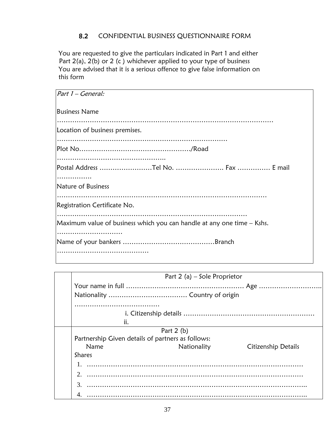## 8.2 CONFIDENTIAL BUSINESS QUESTIONNAIRE FORM

You are requested to give the particulars indicated in Part 1 and either Part  $2(a)$ ,  $2(b)$  or  $2(c)$  whichever applied to your type of business You are advised that it is a serious offence to give false information on this form

| Part 1 - General:                                                      |
|------------------------------------------------------------------------|
| <b>Business Name</b>                                                   |
| Location of business premises.                                         |
|                                                                        |
|                                                                        |
|                                                                        |
|                                                                        |
| .                                                                      |
| Nature of Business                                                     |
|                                                                        |
| Registration Certificate No.                                           |
|                                                                        |
| Maximum value of business which you can handle at any one time – Kshs. |
|                                                                        |
|                                                                        |
|                                                                        |
|                                                                        |

|               | Part 2 (a) – Sole Proprietor                      |                     |
|---------------|---------------------------------------------------|---------------------|
|               |                                                   |                     |
|               |                                                   |                     |
|               |                                                   |                     |
|               |                                                   |                     |
| ii.           |                                                   |                     |
|               | Part $2(b)$                                       |                     |
|               | Partnership Given details of partners as follows: |                     |
| Name          | Nationality                                       | Citizenship Details |
| <b>Shares</b> |                                                   |                     |
|               |                                                   |                     |
|               |                                                   |                     |
|               |                                                   |                     |
|               |                                                   |                     |
|               |                                                   |                     |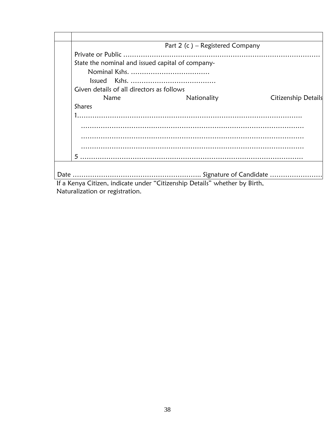| Part 2 (c) – Registered Company                                            |                     |
|----------------------------------------------------------------------------|---------------------|
|                                                                            |                     |
| State the nominal and issued capital of company-                           |                     |
|                                                                            |                     |
|                                                                            |                     |
| Given details of all directors as follows                                  |                     |
| Name<br>Nationality                                                        | Citizenship Details |
| <b>Shares</b>                                                              |                     |
|                                                                            |                     |
|                                                                            |                     |
|                                                                            |                     |
|                                                                            |                     |
|                                                                            |                     |
|                                                                            |                     |
|                                                                            |                     |
|                                                                            |                     |
| If a Kenya Citizen, indicate under "Citizenship Details" whether by Birth, |                     |

Naturalization or registration.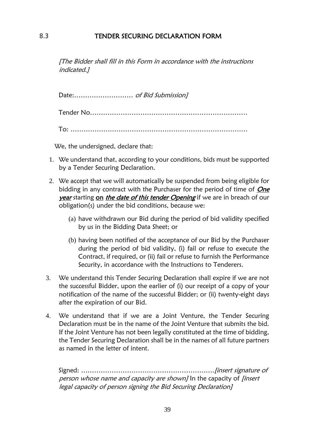#### 8.3 TENDER SECURING DECLARATION FORM

[The Bidder shall fill in this Form in accordance with the instructions indicated.]

Date:……………………… of Bid Submission]

Tender No………………………………………………………………

To: ………………………………………………………………………

We, the undersigned, declare that:

- 1. We understand that, according to your conditions, bids must be supported by a Tender Securing Declaration.
- 2. We accept that we will automatically be suspended from being eligible for bidding in any contract with the Purchaser for the period of time of  $On$ e year starting on the date of this tender Opening if we are in breach of our obligation(s) under the bid conditions, because we:
	- (a) have withdrawn our Bid during the period of bid validity specified by us in the Bidding Data Sheet; or
	- (b) having been notified of the acceptance of our Bid by the Purchaser during the period of bid validity, (i) fail or refuse to execute the Contract, if required, or (ii) fail or refuse to furnish the Performance Security, in accordance with the Instructions to Tenderers.
- 3. We understand this Tender Securing Declaration shall expire if we are not the successful Bidder, upon the earlier of (i) our receipt of a copy of your notification of the name of the successful Bidder; or (ii) twenty-eight days after the expiration of our Bid.
- 4. We understand that if we are a Joint Venture, the Tender Securing Declaration must be in the name of the Joint Venture that submits the bid. If the Joint Venture has not been legally constituted at the time of bidding, the Tender Securing Declaration shall be in the names of all future partners as named in the letter of intent.

Signed: …………………………………………………….[insert signature of person whose name and capacity are shown] In the capacity of *[insert* legal capacity of person signing the Bid Securing Declaration]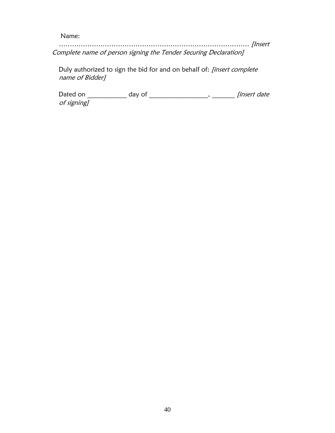Name:

…………………………………………………………………………… [Insert Complete name of person signing the Tender Securing Declaration]

Duly authorized to sign the bid for and on behalf of: [insert complete name of Bidder]

Dated on \_\_\_\_\_\_\_\_\_\_\_\_ day of \_\_\_\_\_\_\_\_\_\_\_\_\_\_\_\_\_\_, \_\_\_\_\_\_\_ [insert date of signing]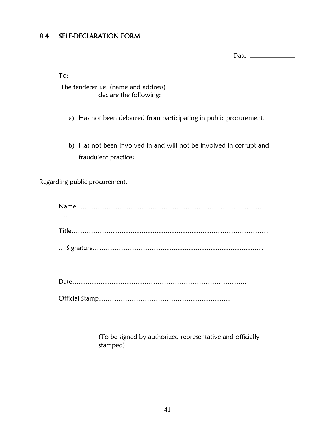# 8.4 SELF-DECLARATION FORM

Date \_\_\_\_\_\_\_\_\_

To:

 The tenderer i.e. (name and address) declare the following:

a) Has not been debarred from participating in public procurement.

b) Has not been involved in and will not be involved in corrupt and fraudulent practices

Regarding public procurement.

| - |
|---|
|---|

Official Stamp……………………………………………………

(To be signed by authorized representative and officially stamped)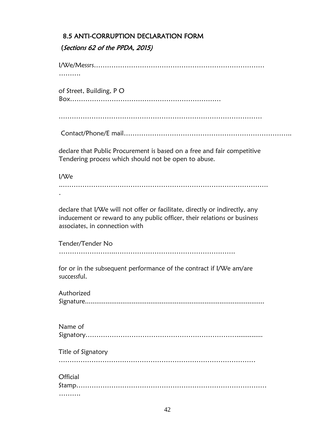### 8.5 ANTI-CORRUPTION DECLARATION FORM

## (Sections 62 of the PPDA, 2015)

I/We/Messrs…………………………………………………………………… ………

of Street, Building, P O Box……………………………………………………………

…………………………………………………………………………………

Contact/Phone/E mail…………………………………………………………………..

declare that Public Procurement is based on a free and fair competitive Tendering process which should not be open to abuse.

I/We ..…………………………………………………………………………………. .

declare that I/We will not offer or facilitate, directly or indirectly, any inducement or reward to any public officer, their relations or business associates, in connection with

Tender/Tender No ……………………..……………………………………………….

for or in the subsequent performance of the contract if I/We am/are successful.

| Authorized |
|------------|
|            |

| Name of            |
|--------------------|
| Title of Signatory |
|                    |
| Official           |
|                    |
|                    |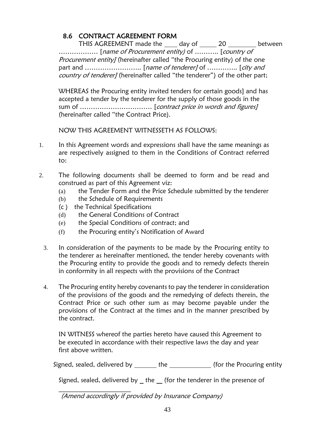# 8.6 CONTRACT AGREEMENT FORM

THIS AGREEMENT made the 100 day of 20 20 between ……………… [name of Procurement entity) of ……….. [country of Procurement entity] (hereinafter called "the Procuring entity) of the one part and …………………………. [name of tenderer] of ……………. [city and country of tenderer] (hereinafter called "the tenderer") of the other part;

WHEREAS the Procuring entity invited tenders for certain goods] and has accepted a tender by the tenderer for the supply of those goods in the sum of …………………………… [contract price in words and figures] (hereinafter called "the Contract Price).

NOW THIS AGREEMENT WITNESSETH AS FOLLOWS:

- 1. In this Agreement words and expressions shall have the same meanings as are respectively assigned to them in the Conditions of Contract referred to:
- 2. The following documents shall be deemed to form and be read and construed as part of this Agreement viz:
	- (a) the Tender Form and the Price Schedule submitted by the tenderer
	- (b) the Schedule of Requirements
	- (c ) the Technical Specifications
	- (d) the General Conditions of Contract
	- (e) the Special Conditions of contract; and
	- (f) the Procuring entity's Notification of Award
	- 3. In consideration of the payments to be made by the Procuring entity to the tenderer as hereinafter mentioned, the tender hereby covenants with the Procuring entity to provide the goods and to remedy defects therein in conformity in all respects with the provisions of the Contract
	- 4. The Procuring entity hereby covenants to pay the tenderer in consideration of the provisions of the goods and the remedying of defects therein, the Contract Price or such other sum as may become payable under the provisions of the Contract at the times and in the manner prescribed by the contract.

IN WITNESS whereof the parties hereto have caused this Agreement to be executed in accordance with their respective laws the day and year first above written.

Signed, sealed, delivered by \_\_\_\_\_\_\_ the \_\_\_\_\_\_\_\_\_\_\_\_\_ (for the Procuring entity

Signed, sealed, delivered by  $\_$  the  $\_$  (for the tenderer in the presence of

 (Amend accordingly if provided by Insurance Company)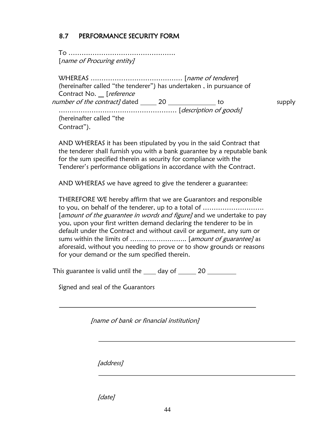# 8.7 PERFORMANCE SECURITY FORM

To …………………………………………. [name of Procuring entity]

WHEREAS …………………………………… [name of tenderer] (hereinafter called "the tenderer") has undertaken , in pursuance of Contract No. \_ [reference number of the contract] dated \_\_\_\_\_\_ 20 \_\_\_\_\_\_\_\_\_\_\_\_\_\_ to supply ……………………………………………… [description of goods] (hereinafter called "the Contract").

AND WHEREAS it has been stipulated by you in the said Contract that the tenderer shall furnish you with a bank guarantee by a reputable bank for the sum specified therein as security for compliance with the Tenderer's performance obligations in accordance with the Contract.

AND WHEREAS we have agreed to give the tenderer a guarantee:

THEREFORE WE hereby affirm that we are Guarantors and responsible to you, on behalf of the tenderer, up to a total of ………………………. [amount of the guarantee in words and figure] and we undertake to pay you, upon your first written demand declaring the tenderer to be in default under the Contract and without cavil or argument, any sum or sums within the limits of …………………….. [amount of guarantee] as aforesaid, without you needing to prove or to show grounds or reasons for your demand or the sum specified therein.

This guarantee is valid until the day of 20

Signed and seal of the Guarantors

[name of bank or financial institution]

[address]

[date]